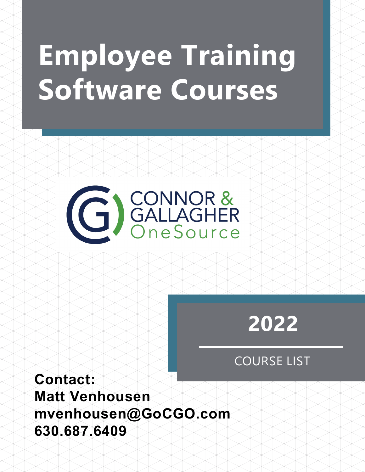# **Employee Training Software Courses**

G GALLAGHER

## **2022**

## COURSE LIST

**Contact: Matt Venhousen mvenhousen@GoCGO.com 630.687.6409**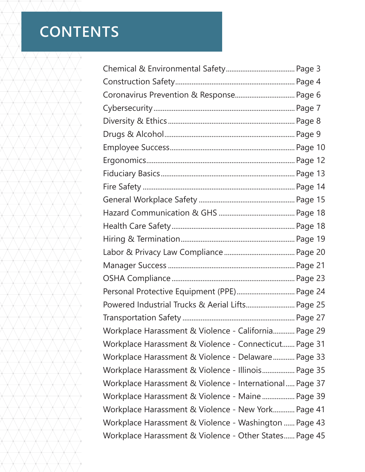## **CONTENTS**

| Coronavirus Prevention & Response Page 6                |  |
|---------------------------------------------------------|--|
|                                                         |  |
|                                                         |  |
|                                                         |  |
|                                                         |  |
|                                                         |  |
|                                                         |  |
|                                                         |  |
|                                                         |  |
|                                                         |  |
|                                                         |  |
|                                                         |  |
|                                                         |  |
|                                                         |  |
|                                                         |  |
| Personal Protective Equipment (PPE) Page 24             |  |
| Powered Industrial Trucks & Aerial Lifts Page 25        |  |
|                                                         |  |
| Workplace Harassment & Violence - California Page 29    |  |
| Workplace Harassment & Violence - Connecticut Page 31   |  |
| Workplace Harassment & Violence - Delaware Page 33      |  |
| Workplace Harassment & Violence - Illinois Page 35      |  |
| Workplace Harassment & Violence - International Page 37 |  |
| Workplace Harassment & Violence - Maine  Page 39        |  |
| Workplace Harassment & Violence - New York Page 41      |  |
| Workplace Harassment & Violence - Washington  Page 43   |  |
| Workplace Harassment & Violence - Other States Page 45  |  |
|                                                         |  |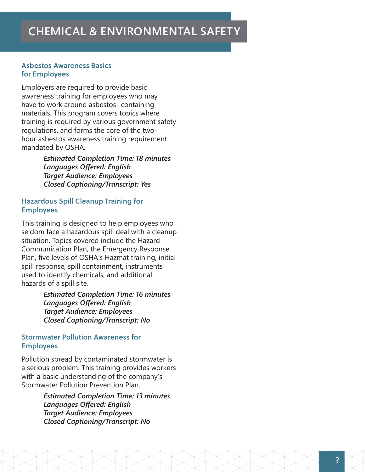#### Asbestos Awareness Basics for Employees

Employers are required to provide basic awareness training for employees who may have to work around asbestos- containing materials. This program covers topics where training is required by various government safety regulations, and forms the core of the twohour asbestos awareness training requirement mandated by OSHA.

> *Estimated Completion Time: 18 minutes Languages Offered: English Target Audience: Employees Closed Captioning/Transcript: Yes*

#### Hazardous Spill Cleanup Training for Employees

This training is designed to help employees who seldom face a hazardous spill deal with a cleanup situation. Topics covered include the Hazard Communication Plan, the Emergency Response Plan, five levels of OSHA's Hazmat training, initial spill response, spill containment, instruments used to identify chemicals, and additional hazards of a spill site.

> *Estimated Completion Time: 16 minutes Languages Offered: English Target Audience: Employees Closed Captioning/Transcript: No*

#### Stormwater Pollution Awareness for Employees

Pollution spread by contaminated stormwater is a serious problem. This training provides workers with a basic understanding of the company's Stormwater Pollution Prevention Plan.

> *Estimated Completion Time: 13 minutes Languages Offered: English Target Audience: Employees Closed Captioning/Transcript: No*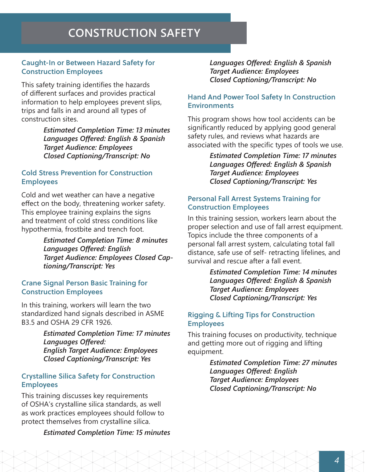## **CONSTRUCTION SAFETY**

#### Caught-In or Between Hazard Safety for Construction Employees

This safety training identifies the hazards of different surfaces and provides practical information to help employees prevent slips, trips and falls in and around all types of construction sites.

> *Estimated Completion Time: 13 minutes Languages Offered: English & Spanish Target Audience: Employees Closed Captioning/Transcript: No*

#### Cold Stress Prevention for Construction **Employees**

Cold and wet weather can have a negative effect on the body, threatening worker safety. This employee training explains the signs and treatment of cold stress conditions like hypothermia, frostbite and trench foot.

> *Estimated Completion Time: 8 minutes Languages Offered: English Target Audience: Employees Closed Captioning/Transcript: Yes*

#### Crane Signal Person Basic Training for Construction Employees

In this training, workers will learn the two standardized hand signals described in ASME B3.5 and OSHA 29 CFR 1926.

> *Estimated Completion Time: 17 minutes Languages Offered: English Target Audience: Employees Closed Captioning/Transcript: Yes*

#### Crystalline Silica Safety for Construction Employees

This training discusses key requirements of OSHA's crystalline silica standards, as well as work practices employees should follow to protect themselves from crystalline silica.

#### *Estimated Completion Time: 15 minutes*

*Languages Offered: English & Spanish Target Audience: Employees Closed Captioning/Transcript: No*

#### Hand And Power Tool Safety In Construction **Environments**

This program shows how tool accidents can be significantly reduced by applying good general safety rules, and reviews what hazards are associated with the specific types of tools we use.

> *Estimated Completion Time: 17 minutes Languages Offered: English & Spanish Target Audience: Employees Closed Captioning/Transcript: Yes*

#### Personal Fall Arrest Systems Training for Construction Employees

In this training session, workers learn about the proper selection and use of fall arrest equipment. Topics include the three components of a personal fall arrest system, calculating total fall distance, safe use of self- retracting lifelines, and survival and rescue after a fall event.

> *Estimated Completion Time: 14 minutes Languages Offered: English & Spanish Target Audience: Employees Closed Captioning/Transcript: Yes*

#### Rigging & Lifting Tips for Construction Employees

This training focuses on productivity, technique and getting more out of rigging and lifting equipment.

> *Estimated Completion Time: 27 minutes Languages Offered: English Target Audience: Employees Closed Captioning/Transcript: No*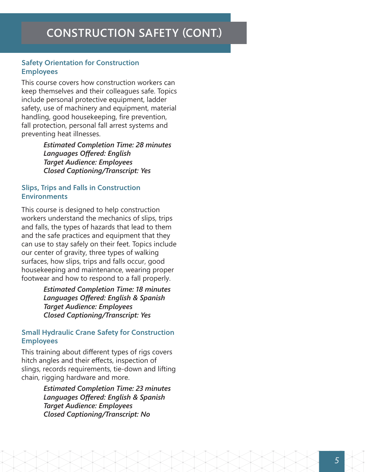#### Safety Orientation for Construction Employees

This course covers how construction workers can keep themselves and their colleagues safe. Topics include personal protective equipment, ladder safety, use of machinery and equipment, material handling, good housekeeping, fire prevention, fall protection, personal fall arrest systems and preventing heat illnesses.

> *Estimated Completion Time: 28 minutes Languages Offered: English Target Audience: Employees Closed Captioning/Transcript: Yes*

#### Slips, Trips and Falls in Construction Environments

This course is designed to help construction workers understand the mechanics of slips, trips and falls, the types of hazards that lead to them and the safe practices and equipment that they can use to stay safely on their feet. Topics include our center of gravity, three types of walking surfaces, how slips, trips and falls occur, good housekeeping and maintenance, wearing proper footwear and how to respond to a fall properly.

> *Estimated Completion Time: 18 minutes Languages Offered: English & Spanish Target Audience: Employees Closed Captioning/Transcript: Yes*

#### Small Hydraulic Crane Safety for Construction Employees

This training about different types of rigs covers hitch angles and their effects, inspection of slings, records requirements, tie-down and lifting chain, rigging hardware and more.

> *Estimated Completion Time: 23 minutes Languages Offered: English & Spanish Target Audience: Employees Closed Captioning/Transcript: No*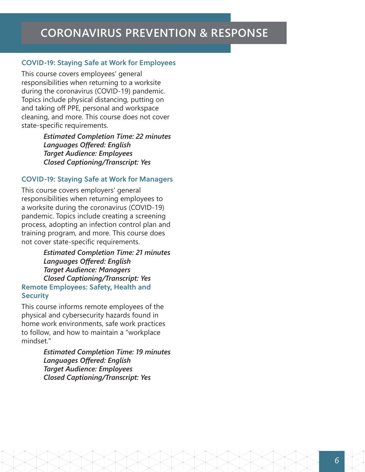#### COVID-19: Staying Safe at Work for Employees

This course covers employees' general responsibilities when returning to a worksite during the coronavirus (COVID-19) pandemic. Topics include physical distancing, putting on and taking off PPE, personal and workspace cleaning, and more. This course does not cover state-specific requirements.

> *Estimated Completion Time: 22 minutes Languages Offered: English Target Audience: Employees Closed Captioning/Transcript: Yes*

#### COVID-19: Staying Safe at Work for Managers

This course covers employers' general responsibilities when returning employees to a worksite during the coronavirus (COVID-19) pandemic. Topics include creating a screening process, adopting an infection control plan and training program, and more. This course does not cover state-specific requirements.

*Estimated Completion Time: 21 minutes Languages Offered: English Target Audience: Managers Closed Captioning/Transcript: Yes* Remote Employees: Safety, Health and **Security** 

This course informs remote employees of the physical and cybersecurity hazards found in home work environments, safe work practices to follow, and how to maintain a "workplace mindset."

> *Estimated Completion Time: 19 minutes Languages Offered: English Target Audience: Employees Closed Captioning/Transcript: Yes*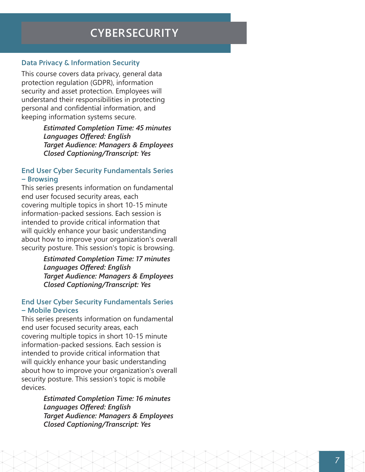## **CYBERSECURITY**

#### Data Privacy & Information Security

This course covers data privacy, general data protection regulation (GDPR), information security and asset protection. Employees will understand their responsibilities in protecting personal and confidential information, and keeping information systems secure.

> *Estimated Completion Time: 45 minutes Languages Offered: English Target Audience: Managers & Employees Closed Captioning/Transcript: Yes*

#### End User Cyber Security Fundamentals Series – Browsing

This series presents information on fundamental end user focused security areas, each covering multiple topics in short 10-15 minute information-packed sessions. Each session is intended to provide critical information that will quickly enhance your basic understanding about how to improve your organization's overall security posture. This session's topic is browsing.

> *Estimated Completion Time: 17 minutes Languages Offered: English Target Audience: Managers & Employees Closed Captioning/Transcript: Yes*

#### End User Cyber Security Fundamentals Series – Mobile Devices

This series presents information on fundamental end user focused security areas, each covering multiple topics in short 10-15 minute information-packed sessions. Each session is intended to provide critical information that will quickly enhance your basic understanding about how to improve your organization's overall security posture. This session's topic is mobile devices.

> *Estimated Completion Time: 16 minutes Languages Offered: English Target Audience: Managers & Employees Closed Captioning/Transcript: Yes*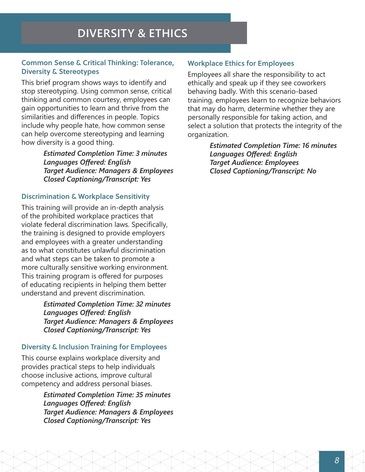## **DIVERSITY & ETHICS**

#### Common Sense & Critical Thinking: Tolerance, Diversity & Stereotypes

This brief program shows ways to identify and stop stereotyping. Using common sense, critical thinking and common courtesy, employees can gain opportunities to learn and thrive from the similarities and differences in people. Topics include why people hate, how common sense can help overcome stereotyping and learning how diversity is a good thing.

> *Estimated Completion Time: 3 minutes Languages Offered: English Target Audience: Managers & Employees Closed Captioning/Transcript: Yes*

#### Discrimination & Workplace Sensitivity

This training will provide an in-depth analysis of the prohibited workplace practices that violate federal discrimination laws. Specifically, the training is designed to provide employers and employees with a greater understanding as to what constitutes unlawful discrimination and what steps can be taken to promote a more culturally sensitive working environment. This training program is offered for purposes of educating recipients in helping them better understand and prevent discrimination.

> *Estimated Completion Time: 32 minutes Languages Offered: English Target Audience: Managers & Employees Closed Captioning/Transcript: Yes*

#### Diversity & Inclusion Training for Employees

This course explains workplace diversity and provides practical steps to help individuals choose inclusive actions, improve cultural competency and address personal biases.

> *Estimated Completion Time: 35 minutes Languages Offered: English Target Audience: Managers & Employees Closed Captioning/Transcript: Yes*

#### Workplace Ethics for Employees

Employees all share the responsibility to act ethically and speak up if they see coworkers behaving badly. With this scenario-based training, employees learn to recognize behaviors that may do harm, determine whether they are personally responsible for taking action, and select a solution that protects the integrity of the organization.

> *Estimated Completion Time: 16 minutes Languages Offered: English Target Audience: Employees Closed Captioning/Transcript: No*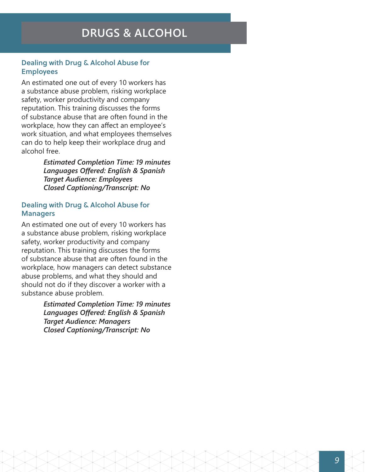#### Dealing with Drug & Alcohol Abuse for Employees

An estimated one out of every 10 workers has a substance abuse problem, risking workplace safety, worker productivity and company reputation. This training discusses the forms of substance abuse that are often found in the workplace, how they can affect an employee's work situation, and what employees themselves can do to help keep their workplace drug and alcohol free.

> *Estimated Completion Time: 19 minutes Languages Offered: English & Spanish Target Audience: Employees Closed Captioning/Transcript: No*

#### Dealing with Drug & Alcohol Abuse for **Managers**

An estimated one out of every 10 workers has a substance abuse problem, risking workplace safety, worker productivity and company reputation. This training discusses the forms of substance abuse that are often found in the workplace, how managers can detect substance abuse problems, and what they should and should not do if they discover a worker with a substance abuse problem.

> *Estimated Completion Time: 19 minutes Languages Offered: English & Spanish Target Audience: Managers Closed Captioning/Transcript: No*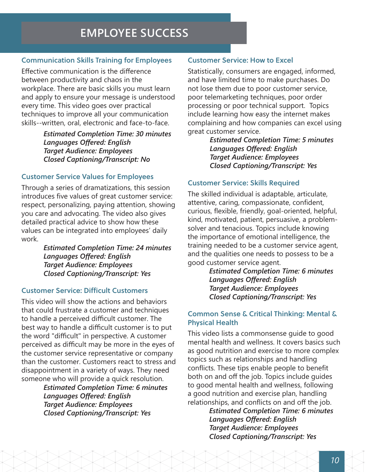## **EMPLOYEE SUCCESS**

#### Communication Skills Training for Employees

Effective communication is the difference between productivity and chaos in the workplace. There are basic skills you must learn and apply to ensure your message is understood every time. This video goes over practical techniques to improve all your communication skills--written, oral, electronic and face-to-face.

> *Estimated Completion Time: 30 minutes Languages Offered: English Target Audience: Employees Closed Captioning/Transcript: No*

#### Customer Service Values for Employees

Through a series of dramatizations, this session introduces five values of great customer service: respect, personalizing, paying attention, showing you care and advocating. The video also gives detailed practical advice to show how these values can be integrated into employees' daily work.

> *Estimated Completion Time: 24 minutes Languages Offered: English Target Audience: Employees Closed Captioning/Transcript: Yes*

#### Customer Service: Difficult Customers

This video will show the actions and behaviors that could frustrate a customer and techniques to handle a perceived difficult customer. The best way to handle a difficult customer is to put the word "difficult" in perspective. A customer perceived as difficult may be more in the eyes of the customer service representative or company than the customer. Customers react to stress and disappointment in a variety of ways. They need someone who will provide a quick resolution.

*Estimated Completion Time: 6 minutes Languages Offered: English Target Audience: Employees Closed Captioning/Transcript: Yes* 

#### Customer Service: How to Excel

Statistically, consumers are engaged, informed, and have limited time to make purchases. Do not lose them due to poor customer service, poor telemarketing techniques, poor order processing or poor technical support. Topics include learning how easy the internet makes complaining and how companies can excel using great customer service.

> *Estimated Completion Time: 5 minutes Languages Offered: English Target Audience: Employees Closed Captioning/Transcript: Yes*

#### Customer Service: Skills Required

The skilled individual is adaptable, articulate, attentive, caring, compassionate, confident, curious, flexible, friendly, goal-oriented, helpful, kind, motivated, patient, persuasive, a problemsolver and tenacious. Topics include knowing the importance of emotional intelligence, the training needed to be a customer service agent, and the qualities one needs to possess to be a good customer service agent.

> *Estimated Completion Time: 6 minutes Languages Offered: English Target Audience: Employees Closed Captioning/Transcript: Yes*

#### Common Sense & Critical Thinking: Mental & Physical Health

This video lists a commonsense guide to good mental health and wellness. It covers basics such as good nutrition and exercise to more complex topics such as relationships and handling conflicts. These tips enable people to benefit both on and off the job. Topics include guides to good mental health and wellness, following a good nutrition and exercise plan, handling relationships, and conflicts on and off the job.

> *Estimated Completion Time: 6 minutes Languages Offered: English Target Audience: Employees Closed Captioning/Transcript: Yes*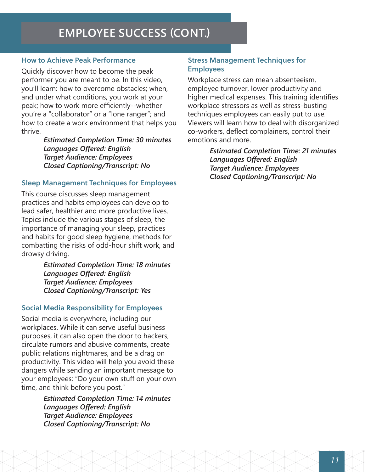## **EMPLOYEE SUCCESS (CONT.)**

#### How to Achieve Peak Performance

Quickly discover how to become the peak performer you are meant to be. In this video, you'll learn: how to overcome obstacles; when, and under what conditions, you work at your peak; how to work more efficiently--whether you're a "collaborator" or a "lone ranger"; and how to create a work environment that helps you thrive.

> *Estimated Completion Time: 30 minutes Languages Offered: English Target Audience: Employees Closed Captioning/Transcript: No*

#### Sleep Management Techniques for Employees

This course discusses sleep management practices and habits employees can develop to lead safer, healthier and more productive lives. Topics include the various stages of sleep, the importance of managing your sleep, practices and habits for good sleep hygiene, methods for combatting the risks of odd-hour shift work, and drowsy driving.

> *Estimated Completion Time: 18 minutes Languages Offered: English Target Audience: Employees Closed Captioning/Transcript: Yes*

#### Social Media Responsibility for Employees

Social media is everywhere, including our workplaces. While it can serve useful business purposes, it can also open the door to hackers, circulate rumors and abusive comments, create public relations nightmares, and be a drag on productivity. This video will help you avoid these dangers while sending an important message to your employees: "Do your own stuff on your own time, and think before you post."

> *Estimated Completion Time: 14 minutes Languages Offered: English Target Audience: Employees Closed Captioning/Transcript: No*

#### Stress Management Techniques for Employees

Workplace stress can mean absenteeism, employee turnover, lower productivity and higher medical expenses. This training identifies workplace stressors as well as stress-busting techniques employees can easily put to use. Viewers will learn how to deal with disorganized co-workers, deflect complainers, control their emotions and more.

> *Estimated Completion Time: 21 minutes Languages Offered: English Target Audience: Employees Closed Captioning/Transcript: No*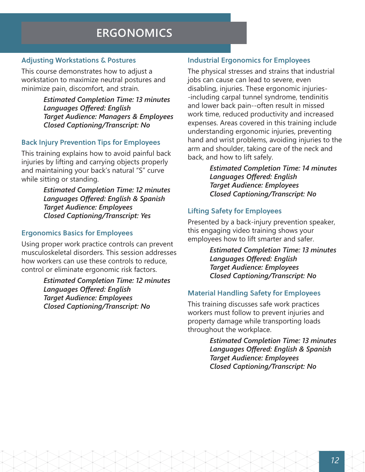## **ERGONOMICS**

#### Adjusting Workstations & Postures

This course demonstrates how to adjust a workstation to maximize neutral postures and minimize pain, discomfort, and strain.

> *Estimated Completion Time: 13 minutes Languages Offered: English Target Audience: Managers & Employees Closed Captioning/Transcript: No*

#### Back Injury Prevention Tips for Employees

This training explains how to avoid painful back injuries by lifting and carrying objects properly and maintaining your back's natural "S" curve while sitting or standing.

> *Estimated Completion Time: 12 minutes Languages Offered: English & Spanish Target Audience: Employees Closed Captioning/Transcript: Yes*

#### Ergonomics Basics for Employees

Using proper work practice controls can prevent musculoskeletal disorders. This session addresses how workers can use these controls to reduce, control or eliminate ergonomic risk factors.

> *Estimated Completion Time: 12 minutes Languages Offered: English Target Audience: Employees Closed Captioning/Transcript: No*

#### Industrial Ergonomics for Employees

The physical stresses and strains that industrial jobs can cause can lead to severe, even disabling, injuries. These ergonomic injuries- -including carpal tunnel syndrome, tendinitis and lower back pain--often result in missed work time, reduced productivity and increased expenses. Areas covered in this training include understanding ergonomic injuries, preventing hand and wrist problems, avoiding injuries to the arm and shoulder, taking care of the neck and back, and how to lift safely.

> *Estimated Completion Time: 14 minutes Languages Offered: English Target Audience: Employees Closed Captioning/Transcript: No*

#### Lifting Safety for Employees

Presented by a back-injury prevention speaker, this engaging video training shows your employees how to lift smarter and safer.

> *Estimated Completion Time: 13 minutes Languages Offered: English Target Audience: Employees Closed Captioning/Transcript: No*

#### Material Handling Safety for Employees

This training discusses safe work practices workers must follow to prevent injuries and property damage while transporting loads throughout the workplace.

> *Estimated Completion Time: 13 minutes Languages Offered: English & Spanish Target Audience: Employees Closed Captioning/Transcript: No*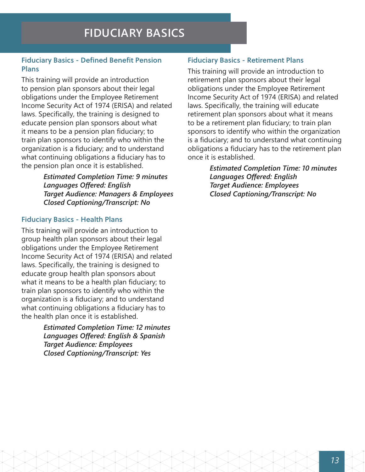#### Fiduciary Basics - Defined Benefit Pension Plans

This training will provide an introduction to pension plan sponsors about their legal obligations under the Employee Retirement Income Security Act of 1974 (ERISA) and related laws. Specifically, the training is designed to educate pension plan sponsors about what it means to be a pension plan fiduciary; to train plan sponsors to identify who within the organization is a fiduciary; and to understand what continuing obligations a fiduciary has to the pension plan once it is established.

> *Estimated Completion Time: 9 minutes Languages Offered: English Target Audience: Managers & Employees Closed Captioning/Transcript: No*

#### Fiduciary Basics - Health Plans

This training will provide an introduction to group health plan sponsors about their legal obligations under the Employee Retirement Income Security Act of 1974 (ERISA) and related laws. Specifically, the training is designed to educate group health plan sponsors about what it means to be a health plan fiduciary; to train plan sponsors to identify who within the organization is a fiduciary; and to understand what continuing obligations a fiduciary has to the health plan once it is established.

> *Estimated Completion Time: 12 minutes Languages Offered: English & Spanish Target Audience: Employees Closed Captioning/Transcript: Yes*

#### Fiduciary Basics - Retirement Plans

This training will provide an introduction to retirement plan sponsors about their legal obligations under the Employee Retirement Income Security Act of 1974 (ERISA) and related laws. Specifically, the training will educate retirement plan sponsors about what it means to be a retirement plan fiduciary; to train plan sponsors to identify who within the organization is a fiduciary; and to understand what continuing obligations a fiduciary has to the retirement plan once it is established.

> *Estimated Completion Time: 10 minutes Languages Offered: English Target Audience: Employees Closed Captioning/Transcript: No*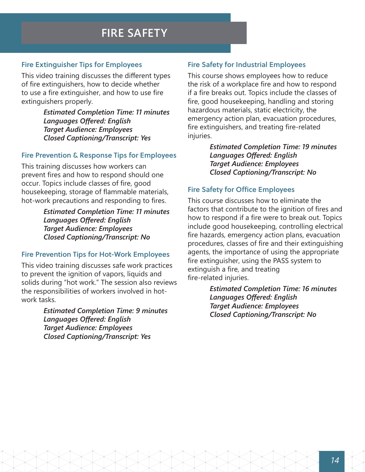## **FIRE SAFETY**

#### Fire Extinguisher Tips for Employees

This video training discusses the different types of fire extinguishers, how to decide whether to use a fire extinguisher, and how to use fire extinguishers properly.

> *Estimated Completion Time: 11 minutes Languages Offered: English Target Audience: Employees Closed Captioning/Transcript: Yes*

#### Fire Prevention & Response Tips for Employees

This training discusses how workers can prevent fires and how to respond should one occur. Topics include classes of fire, good housekeeping, storage of flammable materials, hot-work precautions and responding to fires.

> *Estimated Completion Time: 11 minutes Languages Offered: English Target Audience: Employees Closed Captioning/Transcript: No*

#### Fire Prevention Tips for Hot-Work Employees

This video training discusses safe work practices to prevent the ignition of vapors, liquids and solids during "hot work." The session also reviews the responsibilities of workers involved in hotwork tasks.

> *Estimated Completion Time: 9 minutes Languages Offered: English Target Audience: Employees Closed Captioning/Transcript: Yes*

#### Fire Safety for Industrial Employees

This course shows employees how to reduce the risk of a workplace fire and how to respond if a fire breaks out. Topics include the classes of fire, good housekeeping, handling and storing hazardous materials, static electricity, the emergency action plan, evacuation procedures, fire extinguishers, and treating fire-related injuries.

> *Estimated Completion Time: 19 minutes Languages Offered: English Target Audience: Employees Closed Captioning/Transcript: No*

#### Fire Safety for Office Employees

This course discusses how to eliminate the factors that contribute to the ignition of fires and how to respond if a fire were to break out. Topics include good housekeeping, controlling electrical fire hazards, emergency action plans, evacuation procedures, classes of fire and their extinguishing agents, the importance of using the appropriate fire extinguisher, using the PASS system to extinguish a fire, and treating fire-related injuries.

> *Estimated Completion Time: 16 minutes Languages Offered: English Target Audience: Employees Closed Captioning/Transcript: No*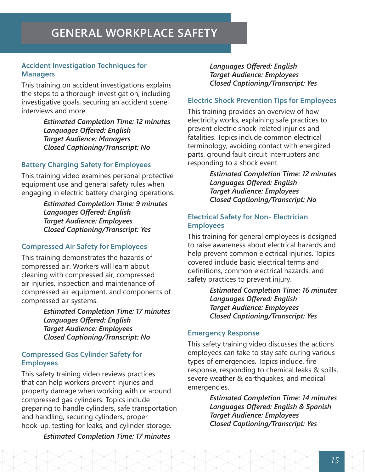#### Accident Investigation Techniques for **Managers**

This training on accident investigations explains the steps to a thorough investigation, including investigative goals, securing an accident scene, interviews and more.

> *Estimated Completion Time: 12 minutes Languages Offered: English Target Audience: Managers Closed Captioning/Transcript: No*

#### Battery Charging Safety for Employees

This training video examines personal protective equipment use and general safety rules when engaging in electric battery charging operations.

> *Estimated Completion Time: 9 minutes Languages Offered: English Target Audience: Employees Closed Captioning/Transcript: Yes*

#### Compressed Air Safety for Employees

This training demonstrates the hazards of compressed air. Workers will learn about cleaning with compressed air, compressed air injuries, inspection and maintenance of compressed air equipment, and components of compressed air systems.

> *Estimated Completion Time: 17 minutes Languages Offered: English Target Audience: Employees Closed Captioning/Transcript: No*

#### Compressed Gas Cylinder Safety for Employees

This safety training video reviews practices that can help workers prevent injuries and property damage when working with or around compressed gas cylinders. Topics include preparing to handle cylinders, safe transportation and handling, securing cylinders, proper hook-up, testing for leaks, and cylinder storage.

#### *Estimated Completion Time: 17 minutes*

*Languages Offered: English Target Audience: Employees Closed Captioning/Transcript: Yes*

#### Electric Shock Prevention Tips for Employees

This training provides an overview of how electricity works, explaining safe practices to prevent electric shock-related injuries and fatalities. Topics include common electrical terminology, avoiding contact with energized parts, ground fault circuit interrupters and responding to a shock event.

> *Estimated Completion Time: 12 minutes Languages Offered: English Target Audience: Employees Closed Captioning/Transcript: No*

#### Electrical Safety for Non- Electrician Employees

This training for general employees is designed to raise awareness about electrical hazards and help prevent common electrical injuries. Topics covered include basic electrical terms and definitions, common electrical hazards, and safety practices to prevent injury.

> *Estimated Completion Time: 16 minutes Languages Offered: English Target Audience: Employees Closed Captioning/Transcript: Yes*

#### Emergency Response

This safety training video discusses the actions employees can take to stay safe during various types of emergencies. Topics include, fire response, responding to chemical leaks & spills, severe weather & earthquakes, and medical emergencies.

> *Estimated Completion Time: 14 minutes Languages Offered: English & Spanish Target Audience: Employees Closed Captioning/Transcript: Yes*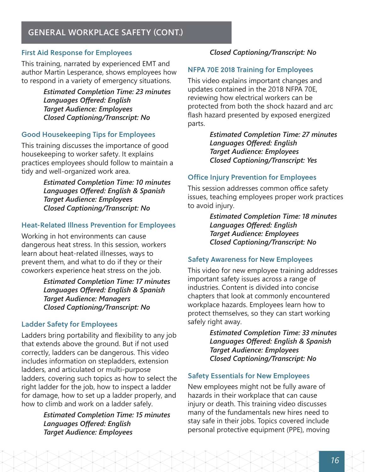### **GENERAL WORKPLACE SAFETY (CONT.)**

#### First Aid Response for Employees

This training, narrated by experienced EMT and author Martin Lesperance, shows employees how to respond in a variety of emergency situations.

> *Estimated Completion Time: 23 minutes Languages Offered: English Target Audience: Employees Closed Captioning/Transcript: No*

#### Good Housekeeping Tips for Employees

This training discusses the importance of good housekeeping to worker safety. It explains practices employees should follow to maintain a tidy and well-organized work area.

> *Estimated Completion Time: 10 minutes Languages Offered: English & Spanish Target Audience: Employees Closed Captioning/Transcript: No*

#### Heat-Related Illness Prevention for Employees

Working in hot environments can cause dangerous heat stress. In this session, workers learn about heat-related illnesses, ways to prevent them, and what to do if they or their coworkers experience heat stress on the job.

> *Estimated Completion Time: 17 minutes Languages Offered: English & Spanish Target Audience: Managers Closed Captioning/Transcript: No*

#### Ladder Safety for Employees

Ladders bring portability and flexibility to any job that extends above the ground. But if not used correctly, ladders can be dangerous. This video includes information on stepladders, extension ladders, and articulated or multi-purpose ladders, covering such topics as how to select the right ladder for the job, how to inspect a ladder for damage, how to set up a ladder properly, and how to climb and work on a ladder safely.

> *Estimated Completion Time: 15 minutes Languages Offered: English Target Audience: Employees*

#### *Closed Captioning/Transcript: No*

#### NFPA 70E 2018 Training for Employees

This video explains important changes and updates contained in the 2018 NFPA 70E, reviewing how electrical workers can be protected from both the shock hazard and arc flash hazard presented by exposed energized parts.

> *Estimated Completion Time: 27 minutes Languages Offered: English Target Audience: Employees Closed Captioning/Transcript: Yes*

#### Office Injury Prevention for Employees

This session addresses common office safety issues, teaching employees proper work practices to avoid injury.

> *Estimated Completion Time: 18 minutes Languages Offered: English Target Audience: Employees Closed Captioning/Transcript: No*

#### Safety Awareness for New Employees

This video for new employee training addresses important safety issues across a range of industries. Content is divided into concise chapters that look at commonly encountered workplace hazards. Employees learn how to protect themselves, so they can start working safely right away.

> *Estimated Completion Time: 33 minutes Languages Offered: English & Spanish Target Audience: Employees Closed Captioning/Transcript: No*

#### Safety Essentials for New Employees

New employees might not be fully aware of hazards in their workplace that can cause injury or death. This training video discusses many of the fundamentals new hires need to stay safe in their jobs. Topics covered include personal protective equipment (PPE), moving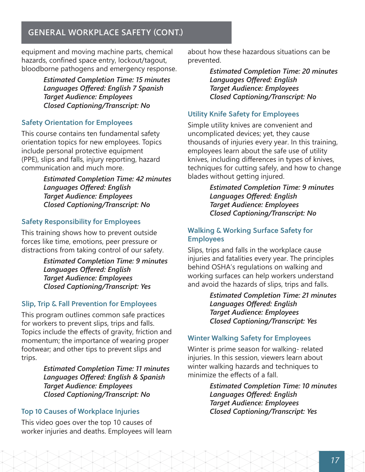### **GENERAL WORKPLACE SAFETY (CONT.)**

equipment and moving machine parts, chemical hazards, confined space entry, lockout/tagout, bloodborne pathogens and emergency response.

> *Estimated Completion Time: 15 minutes Languages Offered: English 7 Spanish Target Audience: Employees Closed Captioning/Transcript: No*

#### Safety Orientation for Employees

This course contains ten fundamental safety orientation topics for new employees. Topics include personal protective equipment (PPE), slips and falls, injury reporting, hazard communication and much more.

> *Estimated Completion Time: 42 minutes Languages Offered: English Target Audience: Employees Closed Captioning/Transcript: No*

#### Safety Responsibility for Employees

This training shows how to prevent outside forces like time, emotions, peer pressure or distractions from taking control of our safety.

> *Estimated Completion Time: 9 minutes Languages Offered: English Target Audience: Employees Closed Captioning/Transcript: Yes*

#### Slip, Trip & Fall Prevention for Employees

This program outlines common safe practices for workers to prevent slips, trips and falls. Topics include the effects of gravity, friction and momentum; the importance of wearing proper footwear; and other tips to prevent slips and trips.

> *Estimated Completion Time: 11 minutes Languages Offered: English & Spanish Target Audience: Employees Closed Captioning/Transcript: No*

#### Top 10 Causes of Workplace Injuries

This video goes over the top 10 causes of worker injuries and deaths. Employees will learn about how these hazardous situations can be prevented.

> *Estimated Completion Time: 20 minutes Languages Offered: English Target Audience: Employees Closed Captioning/Transcript: No*

#### Utility Knife Safety for Employees

Simple utility knives are convenient and uncomplicated devices; yet, they cause thousands of injuries every year. In this training, employees learn about the safe use of utility knives, including differences in types of knives, techniques for cutting safely, and how to change blades without getting injured.

> *Estimated Completion Time: 9 minutes Languages Offered: English Target Audience: Employees Closed Captioning/Transcript: No*

#### Walking & Working Surface Safety for Employees

Slips, trips and falls in the workplace cause injuries and fatalities every year. The principles behind OSHA's regulations on walking and working surfaces can help workers understand and avoid the hazards of slips, trips and falls.

> *Estimated Completion Time: 21 minutes Languages Offered: English Target Audience: Employees Closed Captioning/Transcript: Yes*

#### Winter Walking Safety for Employees

Winter is prime season for walking- related injuries. In this session, viewers learn about winter walking hazards and techniques to minimize the effects of a fall.

> *Estimated Completion Time: 10 minutes Languages Offered: English Target Audience: Employees Closed Captioning/Transcript: Yes*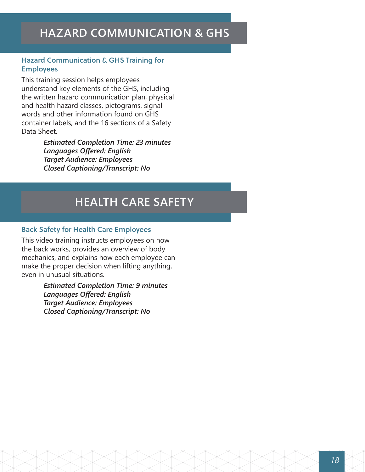## **HAZARD COMMUNICATION & GHS**

#### Hazard Communication & GHS Training for Employees

This training session helps employees understand key elements of the GHS, including the written hazard communication plan, physical and health hazard classes, pictograms, signal words and other information found on GHS container labels, and the 16 sections of a Safety Data Sheet.

> *Estimated Completion Time: 23 minutes Languages Offered: English Target Audience: Employees Closed Captioning/Transcript: No*

## **HEALTH CARE SAFETY**

#### Back Safety for Health Care Employees

This video training instructs employees on how the back works, provides an overview of body mechanics, and explains how each employee can make the proper decision when lifting anything, even in unusual situations.

> *Estimated Completion Time: 9 minutes Languages Offered: English Target Audience: Employees Closed Captioning/Transcript: No*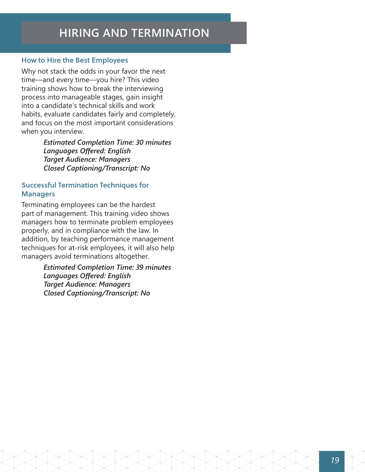## **HIRING AND TERMINATION**

#### How to Hire the Best Employees

Why not stack the odds in your favor the next time—and every time—you hire? This video training shows how to break the interviewing process into manageable stages, gain insight into a candidate's technical skills and work habits, evaluate candidates fairly and completely, and focus on the most important considerations when you interview.

> *Estimated Completion Time: 30 minutes Languages Offered: English Target Audience: Managers Closed Captioning/Transcript: No*

#### Successful Termination Techniques for **Managers**

Terminating employees can be the hardest part of management. This training video shows managers how to terminate problem employees properly, and in compliance with the law. In addition, by teaching performance management techniques for at-risk employees, it will also help managers avoid terminations altogether.

> *Estimated Completion Time: 39 minutes Languages Offered: English Target Audience: Managers Closed Captioning/Transcript: No*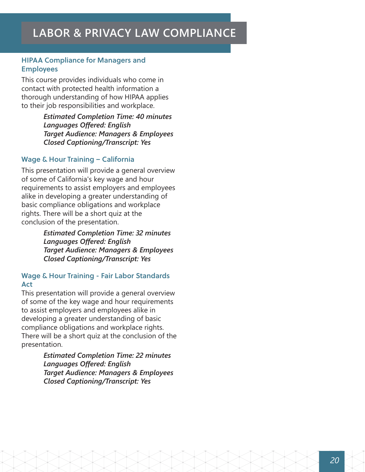#### HIPAA Compliance for Managers and Employees

This course provides individuals who come in contact with protected health information a thorough understanding of how HIPAA applies to their job responsibilities and workplace.

> *Estimated Completion Time: 40 minutes Languages Offered: English Target Audience: Managers & Employees Closed Captioning/Transcript: Yes*

#### Wage & Hour Training – California

This presentation will provide a general overview of some of California's key wage and hour requirements to assist employers and employees alike in developing a greater understanding of basic compliance obligations and workplace rights. There will be a short quiz at the conclusion of the presentation.

> *Estimated Completion Time: 32 minutes Languages Offered: English Target Audience: Managers & Employees Closed Captioning/Transcript: Yes*

#### Wage & Hour Training - Fair Labor Standards Act

This presentation will provide a general overview of some of the key wage and hour requirements to assist employers and employees alike in developing a greater understanding of basic compliance obligations and workplace rights. There will be a short quiz at the conclusion of the presentation.

> *Estimated Completion Time: 22 minutes Languages Offered: English Target Audience: Managers & Employees Closed Captioning/Transcript: Yes*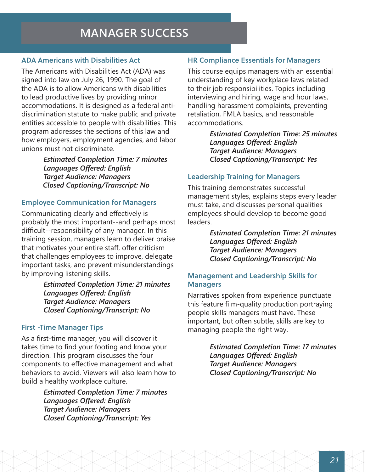## **MANAGER SUCCESS**

#### ADA Americans with Disabilities Act

The Americans with Disabilities Act (ADA) was signed into law on July 26, 1990. The goal of the ADA is to allow Americans with disabilities to lead productive lives by providing minor accommodations. It is designed as a federal antidiscrimination statute to make public and private entities accessible to people with disabilities. This program addresses the sections of this law and how employers, employment agencies, and labor unions must not discriminate.

> *Estimated Completion Time: 7 minutes Languages Offered: English Target Audience: Managers Closed Captioning/Transcript: No*

#### Employee Communication for Managers

Communicating clearly and effectively is probably the most important--and perhaps most difficult--responsibility of any manager. In this training session, managers learn to deliver praise that motivates your entire staff, offer criticism that challenges employees to improve, delegate important tasks, and prevent misunderstandings by improving listening skills.

> *Estimated Completion Time: 21 minutes Languages Offered: English Target Audience: Managers Closed Captioning/Transcript: No*

#### First -Time Manager Tips

As a first-time manager, you will discover it takes time to find your footing and know your direction. This program discusses the four components to effective management and what behaviors to avoid. Viewers will also learn how to build a healthy workplace culture.

> *Estimated Completion Time: 7 minutes Languages Offered: English Target Audience: Managers Closed Captioning/Transcript: Yes*

#### HR Compliance Essentials for Managers

This course equips managers with an essential understanding of key workplace laws related to their job responsibilities. Topics including interviewing and hiring, wage and hour laws, handling harassment complaints, preventing retaliation, FMLA basics, and reasonable accommodations.

> *Estimated Completion Time: 25 minutes Languages Offered: English Target Audience: Managers Closed Captioning/Transcript: Yes*

#### Leadership Training for Managers

This training demonstrates successful management styles, explains steps every leader must take, and discusses personal qualities employees should develop to become good leaders.

> *Estimated Completion Time: 21 minutes Languages Offered: English Target Audience: Managers Closed Captioning/Transcript: No*

#### Management and Leadership Skills for **Managers**

Narratives spoken from experience punctuate this feature film-quality production portraying people skills managers must have. These important, but often subtle, skills are key to managing people the right way.

> *Estimated Completion Time: 17 minutes Languages Offered: English Target Audience: Managers Closed Captioning/Transcript: No*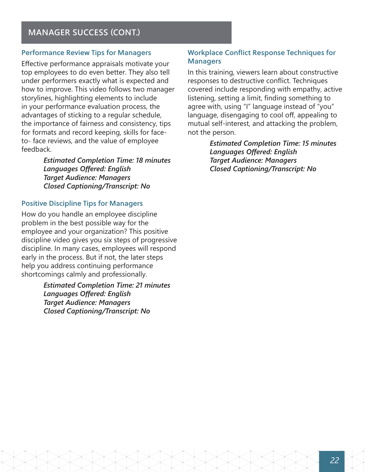#### Performance Review Tips for Managers

Effective performance appraisals motivate your top employees to do even better. They also tell under performers exactly what is expected and how to improve. This video follows two manager storylines, highlighting elements to include in your performance evaluation process, the advantages of sticking to a regular schedule, the importance of fairness and consistency, tips for formats and record keeping, skills for faceto- face reviews, and the value of employee feedback.

> *Estimated Completion Time: 18 minutes Languages Offered: English Target Audience: Managers Closed Captioning/Transcript: No*

#### Positive Discipline Tips for Managers

How do you handle an employee discipline problem in the best possible way for the employee and your organization? This positive discipline video gives you six steps of progressive discipline. In many cases, employees will respond early in the process. But if not, the later steps help you address continuing performance shortcomings calmly and professionally.

> *Estimated Completion Time: 21 minutes Languages Offered: English Target Audience: Managers Closed Captioning/Transcript: No*

#### Workplace Conflict Response Techniques for **Managers**

In this training, viewers learn about constructive responses to destructive conflict. Techniques covered include responding with empathy, active listening, setting a limit, finding something to agree with, using "I" language instead of "you" language, disengaging to cool off, appealing to mutual self-interest, and attacking the problem, not the person.

> *Estimated Completion Time: 15 minutes Languages Offered: English Target Audience: Managers Closed Captioning/Transcript: No*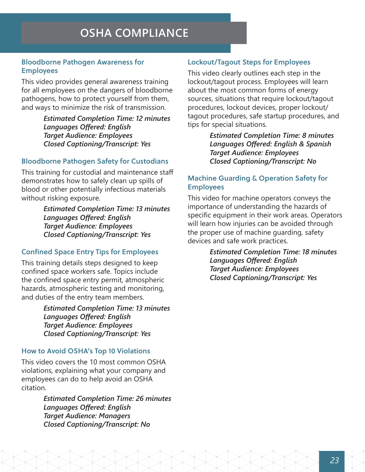## **OSHA COMPLIANCE**

#### Bloodborne Pathogen Awareness for Employees

This video provides general awareness training for all employees on the dangers of bloodborne pathogens, how to protect yourself from them, and ways to minimize the risk of transmission.

> *Estimated Completion Time: 12 minutes Languages Offered: English Target Audience: Employees Closed Captioning/Transcript: Yes*

#### Bloodborne Pathogen Safety for Custodians

This training for custodial and maintenance staff demonstrates how to safely clean up spills of blood or other potentially infectious materials without risking exposure.

> *Estimated Completion Time: 13 minutes Languages Offered: English Target Audience: Employees Closed Captioning/Transcript: Yes*

#### Confined Space Entry Tips for Employees

This training details steps designed to keep confined space workers safe. Topics include the confined space entry permit, atmospheric hazards, atmospheric testing and monitoring, and duties of the entry team members.

> *Estimated Completion Time: 13 minutes Languages Offered: English Target Audience: Employees Closed Captioning/Transcript: Yes*

#### How to Avoid OSHA's Top 10 Violations

This video covers the 10 most common OSHA violations, explaining what your company and employees can do to help avoid an OSHA citation.

> *Estimated Completion Time: 26 minutes Languages Offered: English Target Audience: Managers Closed Captioning/Transcript: No*

#### Lockout/Tagout Steps for Employees

This video clearly outlines each step in the lockout/tagout process. Employees will learn about the most common forms of energy sources, situations that require lockout/tagout procedures, lockout devices, proper lockout/ tagout procedures, safe startup procedures, and tips for special situations.

> *Estimated Completion Time: 8 minutes Languages Offered: English & Spanish Target Audience: Employees Closed Captioning/Transcript: No*

#### Machine Guarding & Operation Safety for Employees

This video for machine operators conveys the importance of understanding the hazards of specific equipment in their work areas. Operators will learn how injuries can be avoided through the proper use of machine guarding, safety devices and safe work practices.

> *Estimated Completion Time: 18 minutes Languages Offered: English Target Audience: Employees Closed Captioning/Transcript: Yes*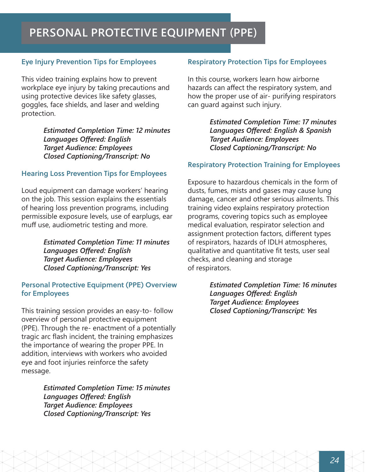## **PERSONAL PROTECTIVE EQUIPMENT (PPE)**

#### Eye Injury Prevention Tips for Employees

This video training explains how to prevent workplace eye injury by taking precautions and using protective devices like safety glasses, goggles, face shields, and laser and welding protection.

> *Estimated Completion Time: 12 minutes Languages Offered: English Target Audience: Employees Closed Captioning/Transcript: No*

#### Hearing Loss Prevention Tips for Employees

Loud equipment can damage workers' hearing on the job. This session explains the essentials of hearing loss prevention programs, including permissible exposure levels, use of earplugs, ear muff use, audiometric testing and more.

> *Estimated Completion Time: 11 minutes Languages Offered: English Target Audience: Employees Closed Captioning/Transcript: Yes*

#### Personal Protective Equipment (PPE) Overview for Employees

This training session provides an easy-to- follow overview of personal protective equipment (PPE). Through the re- enactment of a potentially tragic arc flash incident, the training emphasizes the importance of wearing the proper PPE. In addition, interviews with workers who avoided eye and foot injuries reinforce the safety message.

> *Estimated Completion Time: 15 minutes Languages Offered: English Target Audience: Employees Closed Captioning/Transcript: Yes*

#### Respiratory Protection Tips for Employees

In this course, workers learn how airborne hazards can affect the respiratory system, and how the proper use of air- purifying respirators can guard against such injury.

> *Estimated Completion Time: 17 minutes Languages Offered: English & Spanish Target Audience: Employees Closed Captioning/Transcript: No*

#### Respiratory Protection Training for Employees

Exposure to hazardous chemicals in the form of dusts, fumes, mists and gases may cause lung damage, cancer and other serious ailments. This training video explains respiratory protection programs, covering topics such as employee medical evaluation, respirator selection and assignment protection factors, different types of respirators, hazards of IDLH atmospheres, qualitative and quantitative fit tests, user seal checks, and cleaning and storage of respirators.

> *Estimated Completion Time: 16 minutes Languages Offered: English Target Audience: Employees Closed Captioning/Transcript: Yes*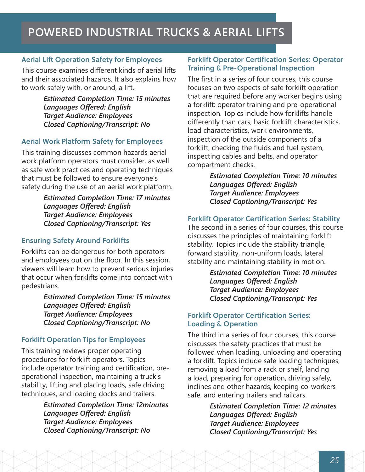#### Aerial Lift Operation Safety for Employees

This course examines different kinds of aerial lifts and their associated hazards. It also explains how to work safely with, or around, a lift.

> *Estimated Completion Time: 15 minutes Languages Offered: English Target Audience: Employees Closed Captioning/Transcript: No*

#### Aerial Work Platform Safety for Employees

This training discusses common hazards aerial work platform operators must consider, as well as safe work practices and operating techniques that must be followed to ensure everyone's safety during the use of an aerial work platform.

> *Estimated Completion Time: 17 minutes Languages Offered: English Target Audience: Employees Closed Captioning/Transcript: Yes*

#### Ensuring Safety Around Forklifts

Forklifts can be dangerous for both operators and employees out on the floor. In this session, viewers will learn how to prevent serious injuries that occur when forklifts come into contact with pedestrians.

> *Estimated Completion Time: 15 minutes Languages Offered: English Target Audience: Employees Closed Captioning/Transcript: No*

#### Forklift Operation Tips for Employees

This training reviews proper operating procedures for forklift operators. Topics include operator training and certification, preoperational inspection, maintaining a truck's stability, lifting and placing loads, safe driving techniques, and loading docks and trailers.

> *Estimated Completion Time: 12minutes Languages Offered: English Target Audience: Employees Closed Captioning/Transcript: No*

#### Forklift Operator Certification Series: Operator Training & Pre-Operational Inspection

The first in a series of four courses, this course focuses on two aspects of safe forklift operation that are required before any worker begins using a forklift: operator training and pre-operational inspection. Topics include how forklifts handle differently than cars, basic forklift characteristics, load characteristics, work environments, inspection of the outside components of a forklift, checking the fluids and fuel system, inspecting cables and belts, and operator compartment checks.

> *Estimated Completion Time: 10 minutes Languages Offered: English Target Audience: Employees Closed Captioning/Transcript: Yes*

#### Forklift Operator Certification Series: Stability

The second in a series of four courses, this course discusses the principles of maintaining forklift stability. Topics include the stability triangle, forward stability, non-uniform loads, lateral stability and maintaining stability in motion.

> *Estimated Completion Time: 10 minutes Languages Offered: English Target Audience: Employees Closed Captioning/Transcript: Yes*

#### Forklift Operator Certification Series: Loading & Operation

The third in a series of four courses, this course discusses the safety practices that must be followed when loading, unloading and operating a forklift. Topics include safe loading techniques, removing a load from a rack or shelf, landing a load, preparing for operation, driving safely, inclines and other hazards, keeping co-workers safe, and entering trailers and railcars.

> *Estimated Completion Time: 12 minutes Languages Offered: English Target Audience: Employees Closed Captioning/Transcript: Yes*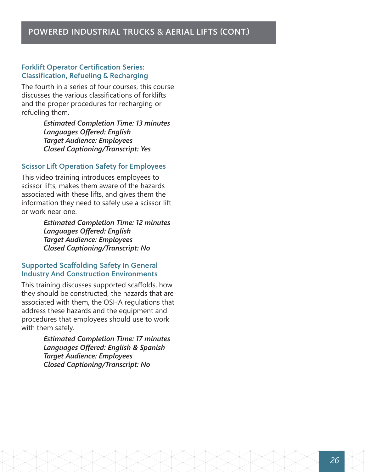#### Forklift Operator Certification Series: Classification, Refueling & Recharging

The fourth in a series of four courses, this course discusses the various classifications of forklifts and the proper procedures for recharging or refueling them.

> *Estimated Completion Time: 13 minutes Languages Offered: English Target Audience: Employees Closed Captioning/Transcript: Yes*

#### Scissor Lift Operation Safety for Employees

This video training introduces employees to scissor lifts, makes them aware of the hazards associated with these lifts, and gives them the information they need to safely use a scissor lift or work near one.

> *Estimated Completion Time: 12 minutes Languages Offered: English Target Audience: Employees Closed Captioning/Transcript: No*

#### Supported Scaffolding Safety In General Industry And Construction Environments

This training discusses supported scaffolds, how they should be constructed, the hazards that are associated with them, the OSHA regulations that address these hazards and the equipment and procedures that employees should use to work with them safely.

> *Estimated Completion Time: 17 minutes Languages Offered: English & Spanish Target Audience: Employees Closed Captioning/Transcript: No*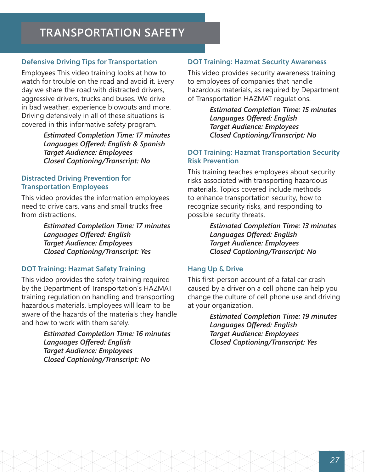## **TRANSPORTATION SAFETY**

#### Defensive Driving Tips for Transportation

Employees This video training looks at how to watch for trouble on the road and avoid it. Every day we share the road with distracted drivers, aggressive drivers, trucks and buses. We drive in bad weather, experience blowouts and more. Driving defensively in all of these situations is covered in this informative safety program.

> *Estimated Completion Time: 17 minutes Languages Offered: English & Spanish Target Audience: Employees Closed Captioning/Transcript: No*

#### Distracted Driving Prevention for Transportation Employees

This video provides the information employees need to drive cars, vans and small trucks free from distractions.

> *Estimated Completion Time: 17 minutes Languages Offered: English Target Audience: Employees Closed Captioning/Transcript: Yes*

#### DOT Training: Hazmat Safety Training

This video provides the safety training required by the Department of Transportation's HAZMAT training regulation on handling and transporting hazardous materials. Employees will learn to be aware of the hazards of the materials they handle and how to work with them safely.

> *Estimated Completion Time: 16 minutes Languages Offered: English Target Audience: Employees Closed Captioning/Transcript: No*

#### DOT Training: Hazmat Security Awareness

This video provides security awareness training to employees of companies that handle hazardous materials, as required by Department of Transportation HAZMAT regulations.

> *Estimated Completion Time: 15 minutes Languages Offered: English Target Audience: Employees Closed Captioning/Transcript: No*

#### DOT Training: Hazmat Transportation Security Risk Prevention

This training teaches employees about security risks associated with transporting hazardous materials. Topics covered include methods to enhance transportation security, how to recognize security risks, and responding to possible security threats.

> *Estimated Completion Time: 13 minutes Languages Offered: English Target Audience: Employees Closed Captioning/Transcript: No*

#### Hang Up & Drive

This first-person account of a fatal car crash caused by a driver on a cell phone can help you change the culture of cell phone use and driving at your organization.

> *Estimated Completion Time: 19 minutes Languages Offered: English Target Audience: Employees Closed Captioning/Transcript: Yes*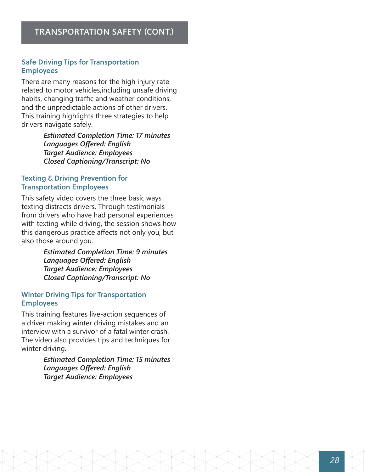#### Safe Driving Tips for Transportation Employees

There are many reasons for the high injury rate related to motor vehicles,including unsafe driving habits, changing traffic and weather conditions, and the unpredictable actions of other drivers. This training highlights three strategies to help drivers navigate safely.

> *Estimated Completion Time: 17 minutes Languages Offered: English Target Audience: Employees Closed Captioning/Transcript: No*

#### Texting & Driving Prevention for Transportation Employees

This safety video covers the three basic ways texting distracts drivers. Through testimonials from drivers who have had personal experiences with texting while driving, the session shows how this dangerous practice affects not only you, but also those around you.

> *Estimated Completion Time: 9 minutes Languages Offered: English Target Audience: Employees Closed Captioning/Transcript: No*

#### Winter Driving Tips for Transportation Employees

This training features live-action sequences of a driver making winter driving mistakes and an interview with a survivor of a fatal winter crash. The video also provides tips and techniques for winter driving.

> *Estimated Completion Time: 15 minutes Languages Offered: English Target Audience: Employees*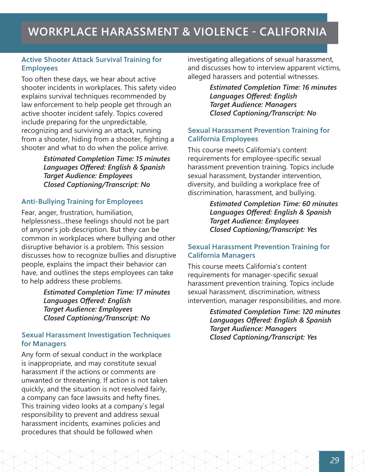## **WORKPLACE HARASSMENT & VIOLENCE - CALIFORNIA**

#### Active Shooter Attack Survival Training for Employees

Too often these days, we hear about active shooter incidents in workplaces. This safety video explains survival techniques recommended by law enforcement to help people get through an active shooter incident safely. Topics covered include preparing for the unpredictable, recognizing and surviving an attack, running from a shooter, hiding from a shooter, fighting a shooter and what to do when the police arrive.

> *Estimated Completion Time: 15 minutes Languages Offered: English & Spanish Target Audience: Employees Closed Captioning/Transcript: No*

#### Anti-Bullying Training for Employees

Fear, anger, frustration, humiliation, helplessness...these feelings should not be part of anyone's job description. But they can be common in workplaces where bullying and other disruptive behavior is a problem. This session discusses how to recognize bullies and disruptive people, explains the impact their behavior can have, and outlines the steps employees can take to help address these problems.

> *Estimated Completion Time: 17 minutes Languages Offered: English Target Audience: Employees Closed Captioning/Transcript: No*

#### Sexual Harassment Investigation Techniques for Managers

Any form of sexual conduct in the workplace is inappropriate, and may constitute sexual harassment if the actions or comments are unwanted or threatening. If action is not taken quickly, and the situation is not resolved fairly, a company can face lawsuits and hefty fines. This training video looks at a company's legal responsibility to prevent and address sexual harassment incidents, examines policies and procedures that should be followed when

investigating allegations of sexual harassment, and discusses how to interview apparent victims, alleged harassers and potential witnesses.

> *Estimated Completion Time: 16 minutes Languages Offered: English Target Audience: Managers Closed Captioning/Transcript: No*

#### Sexual Harassment Prevention Training for California Employees

This course meets California's content requirements for employee-specific sexual harassment prevention training. Topics include sexual harassment, bystander intervention, diversity, and building a workplace free of discrimination, harassment, and bullying.

> *Estimated Completion Time: 60 minutes Languages Offered: English & Spanish Target Audience: Employees Closed Captioning/Transcript: Yes*

#### Sexual Harassment Prevention Training for California Managers

This course meets California's content requirements for manager-specific sexual harassment prevention training. Topics include sexual harassment, discrimination, witness intervention, manager responsibilities, and more.

> *Estimated Completion Time: 120 minutes Languages Offered: English & Spanish Target Audience: Managers Closed Captioning/Transcript: Yes*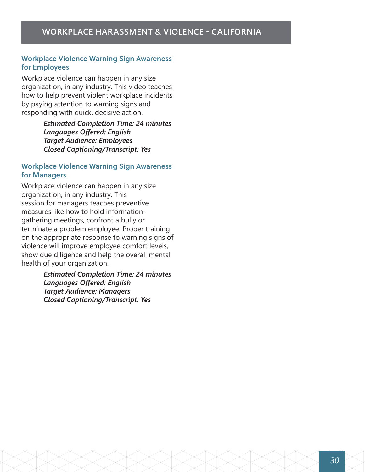#### Workplace Violence Warning Sign Awareness for Employees

Workplace violence can happen in any size organization, in any industry. This video teaches how to help prevent violent workplace incidents by paying attention to warning signs and responding with quick, decisive action.

> *Estimated Completion Time: 24 minutes Languages Offered: English Target Audience: Employees Closed Captioning/Transcript: Yes*

#### Workplace Violence Warning Sign Awareness for Managers

Workplace violence can happen in any size organization, in any industry. This session for managers teaches preventive measures like how to hold informationgathering meetings, confront a bully or terminate a problem employee. Proper training on the appropriate response to warning signs of violence will improve employee comfort levels, show due diligence and help the overall mental health of your organization.

> *Estimated Completion Time: 24 minutes Languages Offered: English Target Audience: Managers Closed Captioning/Transcript: Yes*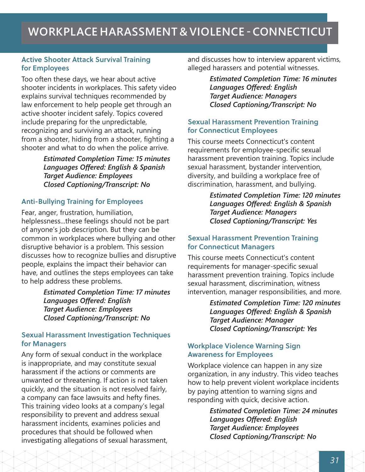## **WORKPLACE HARASSMENT & VIOLENCE - CONNECTICUT**

#### Active Shooter Attack Survival Training for Employees

Too often these days, we hear about active shooter incidents in workplaces. This safety video explains survival techniques recommended by law enforcement to help people get through an active shooter incident safely. Topics covered include preparing for the unpredictable, recognizing and surviving an attack, running from a shooter, hiding from a shooter, fighting a shooter and what to do when the police arrive.

> *Estimated Completion Time: 15 minutes Languages Offered: English & Spanish Target Audience: Employees Closed Captioning/Transcript: No*

#### Anti-Bullying Training for Employees

Fear, anger, frustration, humiliation, helplessness...these feelings should not be part of anyone's job description. But they can be common in workplaces where bullying and other disruptive behavior is a problem. This session discusses how to recognize bullies and disruptive people, explains the impact their behavior can have, and outlines the steps employees can take to help address these problems.

> *Estimated Completion Time: 17 minutes Languages Offered: English Target Audience: Employees Closed Captioning/Transcript: No*

#### Sexual Harassment Investigation Techniques for Managers

Any form of sexual conduct in the workplace is inappropriate, and may constitute sexual harassment if the actions or comments are unwanted or threatening. If action is not taken quickly, and the situation is not resolved fairly, a company can face lawsuits and hefty fines. This training video looks at a company's legal responsibility to prevent and address sexual harassment incidents, examines policies and procedures that should be followed when investigating allegations of sexual harassment,

and discusses how to interview apparent victims, alleged harassers and potential witnesses.

> *Estimated Completion Time: 16 minutes Languages Offered: English Target Audience: Managers Closed Captioning/Transcript: No*

#### Sexual Harassment Prevention Training for Connecticut Employees

This course meets Connecticut's content requirements for employee-specific sexual harassment prevention training. Topics include sexual harassment, bystander intervention, diversity, and building a workplace free of discrimination, harassment, and bullying.

> *Estimated Completion Time: 120 minutes Languages Offered: English & Spanish Target Audience: Managers Closed Captioning/Transcript: Yes*

#### Sexual Harassment Prevention Training for Connecticut Managers

This course meets Connecticut's content requirements for manager-specific sexual harassment prevention training. Topics include sexual harassment, discrimination, witness intervention, manager responsibilities, and more.

> *Estimated Completion Time: 120 minutes Languages Offered: English & Spanish Target Audience: Manager Closed Captioning/Transcript: Yes*

#### Workplace Violence Warning Sign Awareness for Employees

Workplace violence can happen in any size organization, in any industry. This video teaches how to help prevent violent workplace incidents by paying attention to warning signs and responding with quick, decisive action.

> *Estimated Completion Time: 24 minutes Languages Offered: English Target Audience: Employees Closed Captioning/Transcript: No*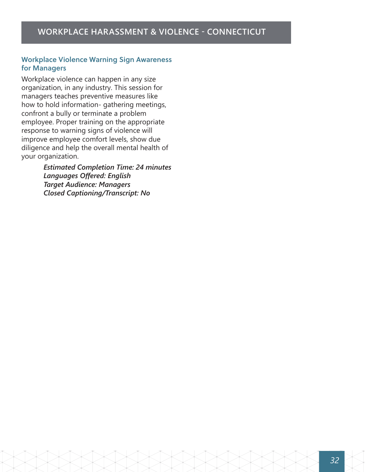#### Workplace Violence Warning Sign Awareness for Managers

Workplace violence can happen in any size organization, in any industry. This session for managers teaches preventive measures like how to hold information- gathering meetings, confront a bully or terminate a problem employee. Proper training on the appropriate response to warning signs of violence will improve employee comfort levels, show due diligence and help the overall mental health of your organization.

> *Estimated Completion Time: 24 minutes Languages Offered: English Target Audience: Managers Closed Captioning/Transcript: No*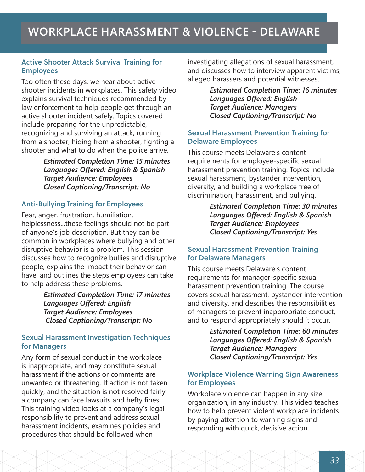#### Active Shooter Attack Survival Training for Employees

Too often these days, we hear about active shooter incidents in workplaces. This safety video explains survival techniques recommended by law enforcement to help people get through an active shooter incident safely. Topics covered include preparing for the unpredictable, recognizing and surviving an attack, running from a shooter, hiding from a shooter, fighting a shooter and what to do when the police arrive.

> *Estimated Completion Time: 15 minutes Languages Offered: English & Spanish Target Audience: Employees Closed Captioning/Transcript: No*

#### Anti-Bullying Training for Employees

Fear, anger, frustration, humiliation, helplessness...these feelings should not be part of anyone's job description. But they can be common in workplaces where bullying and other disruptive behavior is a problem. This session discusses how to recognize bullies and disruptive people, explains the impact their behavior can have, and outlines the steps employees can take to help address these problems.

> *Estimated Completion Time: 17 minutes Languages Offered: English Target Audience: Employees Closed Captioning/Transcript: No*

#### Sexual Harassment Investigation Techniques for Managers

Any form of sexual conduct in the workplace is inappropriate, and may constitute sexual harassment if the actions or comments are unwanted or threatening. If action is not taken quickly, and the situation is not resolved fairly, a company can face lawsuits and hefty fines. This training video looks at a company's legal responsibility to prevent and address sexual harassment incidents, examines policies and procedures that should be followed when

investigating allegations of sexual harassment, and discusses how to interview apparent victims, alleged harassers and potential witnesses.

> *Estimated Completion Time: 16 minutes Languages Offered: English Target Audience: Managers Closed Captioning/Transcript: No*

#### Sexual Harassment Prevention Training for Delaware Employees

This course meets Delaware's content requirements for employee-specific sexual harassment prevention training. Topics include sexual harassment, bystander intervention, diversity, and building a workplace free of discrimination, harassment, and bullying.

> *Estimated Completion Time: 30 minutes Languages Offered: English & Spanish Target Audience: Employees Closed Captioning/Transcript: Yes*

#### Sexual Harassment Prevention Training for Delaware Managers

This course meets Delaware's content requirements for manager-specific sexual harassment prevention training. The course covers sexual harassment, bystander intervention and diversity, and describes the responsibilities of managers to prevent inappropriate conduct, and to respond appropriately should it occur.

> *Estimated Completion Time: 60 minutes Languages Offered: English & Spanish Target Audience: Managers Closed Captioning/Transcript: Yes*

#### Workplace Violence Warning Sign Awareness for Employees

Workplace violence can happen in any size organization, in any industry. This video teaches how to help prevent violent workplace incidents by paying attention to warning signs and responding with quick, decisive action.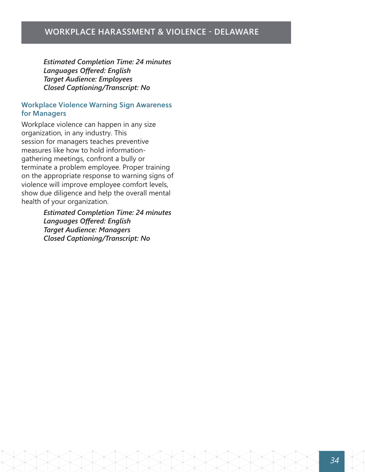#### **WORKPLACE HARASSMENT & VIOLENCE - DELAWARE**

*Estimated Completion Time: 24 minutes Languages Offered: English Target Audience: Employees Closed Captioning/Transcript: No*

#### Workplace Violence Warning Sign Awareness for Managers

Workplace violence can happen in any size organization, in any industry. This session for managers teaches preventive measures like how to hold informationgathering meetings, confront a bully or terminate a problem employee. Proper training on the appropriate response to warning signs of violence will improve employee comfort levels, show due diligence and help the overall mental health of your organization.

> *Estimated Completion Time: 24 minutes Languages Offered: English Target Audience: Managers Closed Captioning/Transcript: No*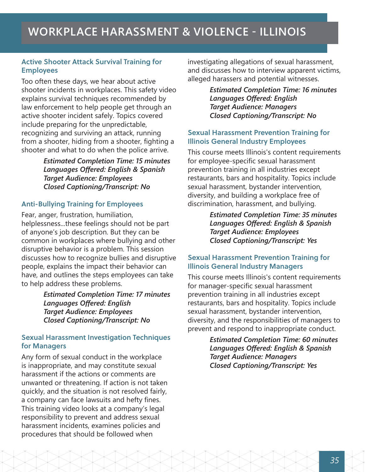## **WORKPLACE HARASSMENT & VIOLENCE - ILLINOIS**

#### Active Shooter Attack Survival Training for Employees

Too often these days, we hear about active shooter incidents in workplaces. This safety video explains survival techniques recommended by law enforcement to help people get through an active shooter incident safely. Topics covered include preparing for the unpredictable, recognizing and surviving an attack, running from a shooter, hiding from a shooter, fighting a shooter and what to do when the police arrive.

> *Estimated Completion Time: 15 minutes Languages Offered: English & Spanish Target Audience: Employees Closed Captioning/Transcript: No*

#### Anti-Bullying Training for Employees

Fear, anger, frustration, humiliation, helplessness...these feelings should not be part of anyone's job description. But they can be common in workplaces where bullying and other disruptive behavior is a problem. This session discusses how to recognize bullies and disruptive people, explains the impact their behavior can have, and outlines the steps employees can take to help address these problems.

> *Estimated Completion Time: 17 minutes Languages Offered: English Target Audience: Employees Closed Captioning/Transcript: No*

#### Sexual Harassment Investigation Techniques for Managers

Any form of sexual conduct in the workplace is inappropriate, and may constitute sexual harassment if the actions or comments are unwanted or threatening. If action is not taken quickly, and the situation is not resolved fairly, a company can face lawsuits and hefty fines. This training video looks at a company's legal responsibility to prevent and address sexual harassment incidents, examines policies and procedures that should be followed when

investigating allegations of sexual harassment, and discusses how to interview apparent victims, alleged harassers and potential witnesses.

> *Estimated Completion Time: 16 minutes Languages Offered: English Target Audience: Managers Closed Captioning/Transcript: No*

#### Sexual Harassment Prevention Training for Illinois General Industry Employees

This course meets Illinois's content requirements for employee-specific sexual harassment prevention training in all industries except restaurants, bars and hospitality. Topics include sexual harassment, bystander intervention, diversity, and building a workplace free of discrimination, harassment, and bullying.

> *Estimated Completion Time: 35 minutes Languages Offered: English & Spanish Target Audience: Employees Closed Captioning/Transcript: Yes*

#### Sexual Harassment Prevention Training for Illinois General Industry Managers

This course meets Illinois's content requirements for manager-specific sexual harassment prevention training in all industries except restaurants, bars and hospitality. Topics include sexual harassment, bystander intervention, diversity, and the responsibilities of managers to prevent and respond to inappropriate conduct.

> *Estimated Completion Time: 60 minutes Languages Offered: English & Spanish Target Audience: Managers Closed Captioning/Transcript: Yes*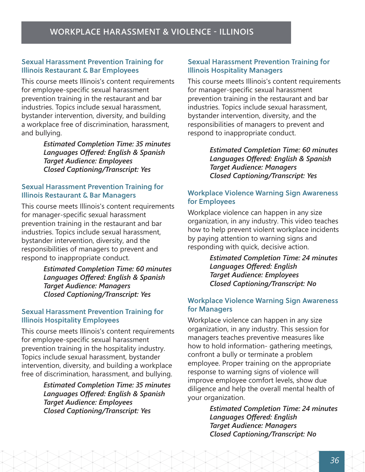#### Sexual Harassment Prevention Training for Illinois Restaurant & Bar Employees

This course meets Illinois's content requirements for employee-specific sexual harassment prevention training in the restaurant and bar industries. Topics include sexual harassment, bystander intervention, diversity, and building a workplace free of discrimination, harassment, and bullying.

> *Estimated Completion Time: 35 minutes Languages Offered: English & Spanish Target Audience: Employees Closed Captioning/Transcript: Yes*

#### Sexual Harassment Prevention Training for Illinois Restaurant & Bar Managers

This course meets Illinois's content requirements for manager-specific sexual harassment prevention training in the restaurant and bar industries. Topics include sexual harassment, bystander intervention, diversity, and the responsibilities of managers to prevent and respond to inappropriate conduct.

> *Estimated Completion Time: 60 minutes Languages Offered: English & Spanish Target Audience: Managers Closed Captioning/Transcript: Yes*

#### Sexual Harassment Prevention Training for Illinois Hospitality Employees

This course meets Illinois's content requirements for employee-specific sexual harassment prevention training in the hospitality industry. Topics include sexual harassment, bystander intervention, diversity, and building a workplace free of discrimination, harassment, and bullying.

> *Estimated Completion Time: 35 minutes Languages Offered: English & Spanish Target Audience: Employees Closed Captioning/Transcript: Yes*

#### Sexual Harassment Prevention Training for Illinois Hospitality Managers

This course meets Illinois's content requirements for manager-specific sexual harassment prevention training in the restaurant and bar industries. Topics include sexual harassment, bystander intervention, diversity, and the responsibilities of managers to prevent and respond to inappropriate conduct.

> *Estimated Completion Time: 60 minutes Languages Offered: English & Spanish Target Audience: Managers Closed Captioning/Transcript: Yes*

#### Workplace Violence Warning Sign Awareness for Employees

Workplace violence can happen in any size organization, in any industry. This video teaches how to help prevent violent workplace incidents by paying attention to warning signs and responding with quick, decisive action.

> *Estimated Completion Time: 24 minutes Languages Offered: English Target Audience: Employees Closed Captioning/Transcript: No*

#### Workplace Violence Warning Sign Awareness for Managers

Workplace violence can happen in any size organization, in any industry. This session for managers teaches preventive measures like how to hold information- gathering meetings, confront a bully or terminate a problem employee. Proper training on the appropriate response to warning signs of violence will improve employee comfort levels, show due diligence and help the overall mental health of your organization.

> *Estimated Completion Time: 24 minutes Languages Offered: English Target Audience: Managers Closed Captioning/Transcript: No*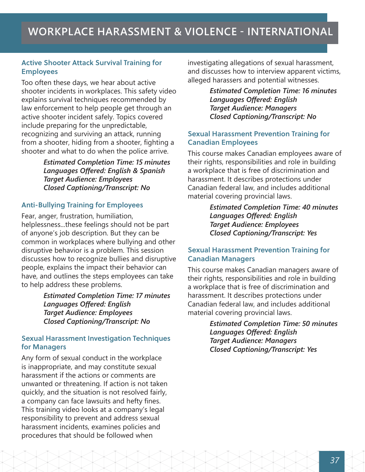## **WORKPLACE HARASSMENT & VIOLENCE - INTERNATIONAL**

#### Active Shooter Attack Survival Training for Employees

Too often these days, we hear about active shooter incidents in workplaces. This safety video explains survival techniques recommended by law enforcement to help people get through an active shooter incident safely. Topics covered include preparing for the unpredictable, recognizing and surviving an attack, running from a shooter, hiding from a shooter, fighting a shooter and what to do when the police arrive.

> *Estimated Completion Time: 15 minutes Languages Offered: English & Spanish Target Audience: Employees Closed Captioning/Transcript: No*

#### Anti-Bullying Training for Employees

Fear, anger, frustration, humiliation, helplessness...these feelings should not be part of anyone's job description. But they can be common in workplaces where bullying and other disruptive behavior is a problem. This session discusses how to recognize bullies and disruptive people, explains the impact their behavior can have, and outlines the steps employees can take to help address these problems.

> *Estimated Completion Time: 17 minutes Languages Offered: English Target Audience: Employees Closed Captioning/Transcript: No*

#### Sexual Harassment Investigation Techniques for Managers

Any form of sexual conduct in the workplace is inappropriate, and may constitute sexual harassment if the actions or comments are unwanted or threatening. If action is not taken quickly, and the situation is not resolved fairly, a company can face lawsuits and hefty fines. This training video looks at a company's legal responsibility to prevent and address sexual harassment incidents, examines policies and procedures that should be followed when

investigating allegations of sexual harassment, and discusses how to interview apparent victims, alleged harassers and potential witnesses.

> *Estimated Completion Time: 16 minutes Languages Offered: English Target Audience: Managers Closed Captioning/Transcript: No*

#### Sexual Harassment Prevention Training for Canadian Employees

This course makes Canadian employees aware of their rights, responsibilities and role in building a workplace that is free of discrimination and harassment. It describes protections under Canadian federal law, and includes additional material covering provincial laws.

> *Estimated Completion Time: 40 minutes Languages Offered: English Target Audience: Employees Closed Captioning/Transcript: Yes*

#### Sexual Harassment Prevention Training for Canadian Managers

This course makes Canadian managers aware of their rights, responsibilities and role in building a workplace that is free of discrimination and harassment. It describes protections under Canadian federal law, and includes additional material covering provincial laws.

> *Estimated Completion Time: 50 minutes Languages Offered: English Target Audience: Managers Closed Captioning/Transcript: Yes*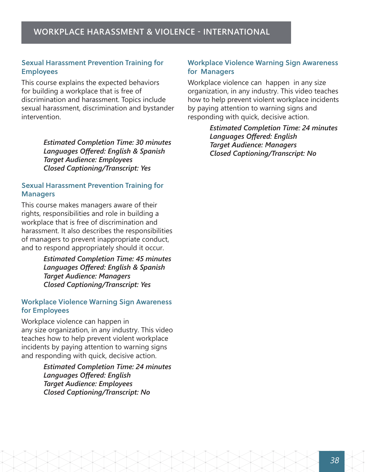#### **WORKPLACE HARASSMENT & VIOLENCE - INTERNATIONAL**

#### Sexual Harassment Prevention Training for Employees

This course explains the expected behaviors for building a workplace that is free of discrimination and harassment. Topics include sexual harassment, discrimination and bystander intervention.

> *Estimated Completion Time: 30 minutes Languages Offered: English & Spanish Target Audience: Employees Closed Captioning/Transcript: Yes*

#### Sexual Harassment Prevention Training for **Managers**

This course makes managers aware of their rights, responsibilities and role in building a workplace that is free of discrimination and harassment. It also describes the responsibilities of managers to prevent inappropriate conduct, and to respond appropriately should it occur.

> *Estimated Completion Time: 45 minutes Languages Offered: English & Spanish Target Audience: Managers Closed Captioning/Transcript: Yes*

#### Workplace Violence Warning Sign Awareness for Employees

Workplace violence can happen in any size organization, in any industry. This video teaches how to help prevent violent workplace incidents by paying attention to warning signs and responding with quick, decisive action.

> *Estimated Completion Time: 24 minutes Languages Offered: English Target Audience: Employees Closed Captioning/Transcript: No*

#### Workplace Violence Warning Sign Awareness for Managers

Workplace violence can happen in any size organization, in any industry. This video teaches how to help prevent violent workplace incidents by paying attention to warning signs and responding with quick, decisive action.

> *Estimated Completion Time: 24 minutes Languages Offered: English Target Audience: Managers Closed Captioning/Transcript: No*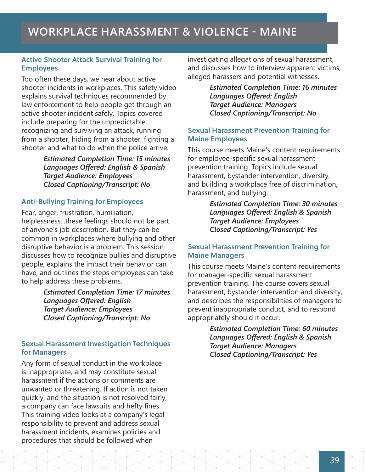#### Active Shooter Attack Survival Training for Employees

Too often these days, we hear about active shooter incidents in workplaces. This safety video explains survival techniques recommended by law enforcement to help people get through an active shooter incident safely. Topics covered include preparing for the unpredictable, recognizing and surviving an attack, running from a shooter, hiding from a shooter, fighting a shooter and what to do when the police arrive.

> *Estimated Completion Time: 15 minutes Languages Offered: English & Spanish Target Audience: Employees Closed Captioning/Transcript: No*

#### Anti-Bullying Training for Employees

Fear, anger, frustration, humiliation, helplessness...these feelings should not be part of anyone's job description. But they can be common in workplaces where bullying and other disruptive behavior is a problem. This session discusses how to recognize bullies and disruptive people, explains the impact their behavior can have, and outlines the steps employees can take to help address these problems.

> *Estimated Completion Time: 17 minutes Languages Offered: English Target Audience: Employees Closed Captioning/Transcript: No*

#### Sexual Harassment Investigation Techniques for Managers

Any form of sexual conduct in the workplace is inappropriate, and may constitute sexual harassment if the actions or comments are unwanted or threatening. If action is not taken quickly, and the situation is not resolved fairly, a company can face lawsuits and hefty fines. This training video looks at a company's legal responsibility to prevent and address sexual harassment incidents, examines policies and procedures that should be followed when

investigating allegations of sexual harassment, and discusses how to interview apparent victims, alleged harassers and potential witnesses.

> *Estimated Completion Time: 16 minutes Languages Offered: English Target Audience: Managers Closed Captioning/Transcript: No*

#### Sexual Harassment Prevention Training for Maine Employees

This course meets Maine's content requirements for employee-specific sexual harassment prevention training. Topics include sexual harassment, bystander intervention, diversity, and building a workplace free of discrimination, harassment, and bullying.

> *Estimated Completion Time: 30 minutes Languages Offered: English & Spanish Target Audience: Employees Closed Captioning/Transcript: Yes*

#### Sexual Harassment Prevention Training for Maine Managers

This course meets Maine's content requirements for manager-specific sexual harassment prevention training. The course covers sexual harassment, bystander intervention and diversity, and describes the responsibilities of managers to prevent inappropriate conduct, and to respond appropriately should it occur.

> *Estimated Completion Time: 60 minutes Languages Offered: English & Spanish Target Audience: Managers Closed Captioning/Transcript: Yes*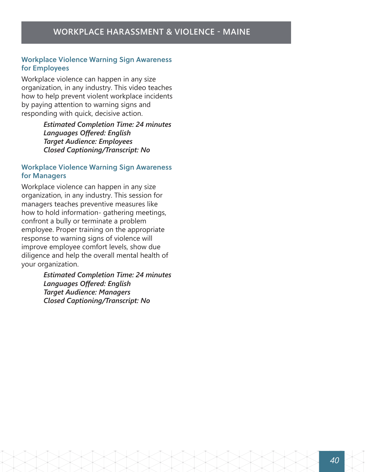#### Workplace Violence Warning Sign Awareness for Employees

Workplace violence can happen in any size organization, in any industry. This video teaches how to help prevent violent workplace incidents by paying attention to warning signs and responding with quick, decisive action.

> *Estimated Completion Time: 24 minutes Languages Offered: English Target Audience: Employees Closed Captioning/Transcript: No*

#### Workplace Violence Warning Sign Awareness for Managers

Workplace violence can happen in any size organization, in any industry. This session for managers teaches preventive measures like how to hold information- gathering meetings, confront a bully or terminate a problem employee. Proper training on the appropriate response to warning signs of violence will improve employee comfort levels, show due diligence and help the overall mental health of your organization.

> *Estimated Completion Time: 24 minutes Languages Offered: English Target Audience: Managers Closed Captioning/Transcript: No*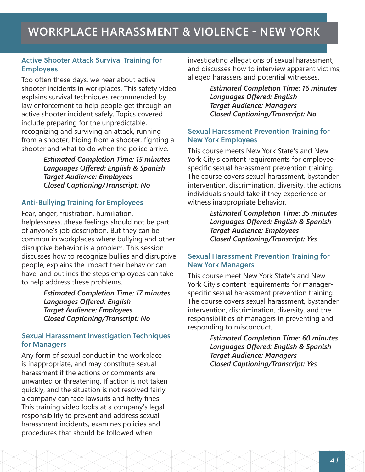## **WORKPLACE HARASSMENT & VIOLENCE - NEW YORK**

#### Active Shooter Attack Survival Training for Employees

Too often these days, we hear about active shooter incidents in workplaces. This safety video explains survival techniques recommended by law enforcement to help people get through an active shooter incident safely. Topics covered include preparing for the unpredictable, recognizing and surviving an attack, running from a shooter, hiding from a shooter, fighting a shooter and what to do when the police arrive.

> *Estimated Completion Time: 15 minutes Languages Offered: English & Spanish Target Audience: Employees Closed Captioning/Transcript: No*

#### Anti-Bullying Training for Employees

Fear, anger, frustration, humiliation, helplessness...these feelings should not be part of anyone's job description. But they can be common in workplaces where bullying and other disruptive behavior is a problem. This session discusses how to recognize bullies and disruptive people, explains the impact their behavior can have, and outlines the steps employees can take to help address these problems.

> *Estimated Completion Time: 17 minutes Languages Offered: English Target Audience: Employees Closed Captioning/Transcript: No*

#### Sexual Harassment Investigation Techniques for Managers

Any form of sexual conduct in the workplace is inappropriate, and may constitute sexual harassment if the actions or comments are unwanted or threatening. If action is not taken quickly, and the situation is not resolved fairly, a company can face lawsuits and hefty fines. This training video looks at a company's legal responsibility to prevent and address sexual harassment incidents, examines policies and procedures that should be followed when

investigating allegations of sexual harassment, and discusses how to interview apparent victims, alleged harassers and potential witnesses.

> *Estimated Completion Time: 16 minutes Languages Offered: English Target Audience: Managers Closed Captioning/Transcript: No*

#### Sexual Harassment Prevention Training for New York Employees

This course meets New York State's and New York City's content requirements for employeespecific sexual harassment prevention training. The course covers sexual harassment, bystander intervention, discrimination, diversity, the actions individuals should take if they experience or witness inappropriate behavior.

> *Estimated Completion Time: 35 minutes Languages Offered: English & Spanish Target Audience: Employees Closed Captioning/Transcript: Yes*

#### Sexual Harassment Prevention Training for New York Managers

This course meet New York State's and New York City's content requirements for managerspecific sexual harassment prevention training. The course covers sexual harassment, bystander intervention, discrimination, diversity, and the responsibilities of managers in preventing and responding to misconduct.

> *Estimated Completion Time: 60 minutes Languages Offered: English & Spanish Target Audience: Managers Closed Captioning/Transcript: Yes*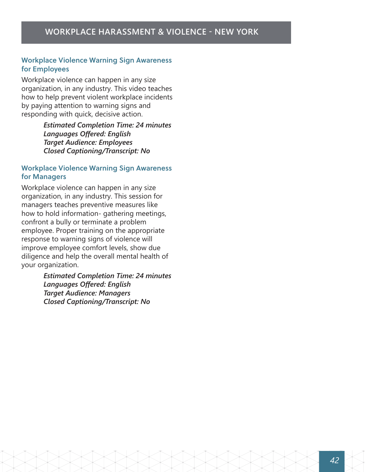#### Workplace Violence Warning Sign Awareness for Employees

Workplace violence can happen in any size organization, in any industry. This video teaches how to help prevent violent workplace incidents by paying attention to warning signs and responding with quick, decisive action.

> *Estimated Completion Time: 24 minutes Languages Offered: English Target Audience: Employees Closed Captioning/Transcript: No*

#### Workplace Violence Warning Sign Awareness for Managers

Workplace violence can happen in any size organization, in any industry. This session for managers teaches preventive measures like how to hold information- gathering meetings, confront a bully or terminate a problem employee. Proper training on the appropriate response to warning signs of violence will improve employee comfort levels, show due diligence and help the overall mental health of your organization.

> *Estimated Completion Time: 24 minutes Languages Offered: English Target Audience: Managers Closed Captioning/Transcript: No*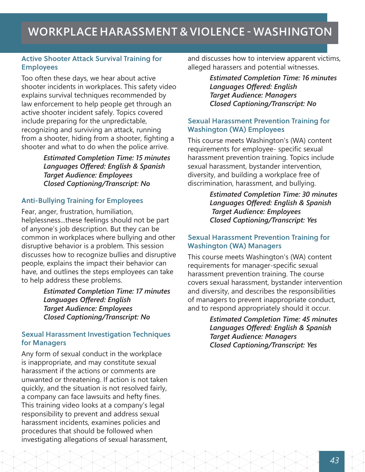## **WORKPLACE HARASSMENT & VIOLENCE - WASHINGTON**

#### Active Shooter Attack Survival Training for Employees

Too often these days, we hear about active shooter incidents in workplaces. This safety video explains survival techniques recommended by law enforcement to help people get through an active shooter incident safely. Topics covered include preparing for the unpredictable, recognizing and surviving an attack, running from a shooter, hiding from a shooter, fighting a shooter and what to do when the police arrive.

> *Estimated Completion Time: 15 minutes Languages Offered: English & Spanish Target Audience: Employees Closed Captioning/Transcript: No*

#### Anti-Bullying Training for Employees

Fear, anger, frustration, humiliation, helplessness...these feelings should not be part of anyone's job description. But they can be common in workplaces where bullying and other disruptive behavior is a problem. This session discusses how to recognize bullies and disruptive people, explains the impact their behavior can have, and outlines the steps employees can take to help address these problems.

> *Estimated Completion Time: 17 minutes Languages Offered: English Target Audience: Employees Closed Captioning/Transcript: No*

#### Sexual Harassment Investigation Techniques for Managers

Any form of sexual conduct in the workplace is inappropriate, and may constitute sexual harassment if the actions or comments are unwanted or threatening. If action is not taken quickly, and the situation is not resolved fairly, a company can face lawsuits and hefty fines. This training video looks at a company's legal responsibility to prevent and address sexual harassment incidents, examines policies and procedures that should be followed when investigating allegations of sexual harassment,

and discusses how to interview apparent victims, alleged harassers and potential witnesses.

> *Estimated Completion Time: 16 minutes Languages Offered: English Target Audience: Managers Closed Captioning/Transcript: No*

#### Sexual Harassment Prevention Training for Washington (WA) Employees

This course meets Washington's (WA) content requirements for employee- specific sexual harassment prevention training. Topics include sexual harassment, bystander intervention, diversity, and building a workplace free of discrimination, harassment, and bullying.

> *Estimated Completion Time: 30 minutes Languages Offered: English & Spanish Target Audience: Employees Closed Captioning/Transcript: Yes*

#### Sexual Harassment Prevention Training for Washington (WA) Managers

This course meets Washington's (WA) content requirements for manager-specific sexual harassment prevention training. The course covers sexual harassment, bystander intervention and diversity, and describes the responsibilities of managers to prevent inappropriate conduct, and to respond appropriately should it occur.

> *Estimated Completion Time: 45 minutes Languages Offered: English & Spanish Target Audience: Managers Closed Captioning/Transcript: Yes*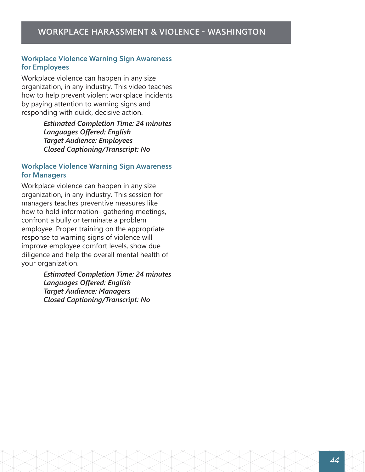#### Workplace Violence Warning Sign Awareness for Employees

Workplace violence can happen in any size organization, in any industry. This video teaches how to help prevent violent workplace incidents by paying attention to warning signs and responding with quick, decisive action.

> *Estimated Completion Time: 24 minutes Languages Offered: English Target Audience: Employees Closed Captioning/Transcript: No*

#### Workplace Violence Warning Sign Awareness for Managers

Workplace violence can happen in any size organization, in any industry. This session for managers teaches preventive measures like how to hold information- gathering meetings, confront a bully or terminate a problem employee. Proper training on the appropriate response to warning signs of violence will improve employee comfort levels, show due diligence and help the overall mental health of your organization.

> *Estimated Completion Time: 24 minutes Languages Offered: English Target Audience: Managers Closed Captioning/Transcript: No*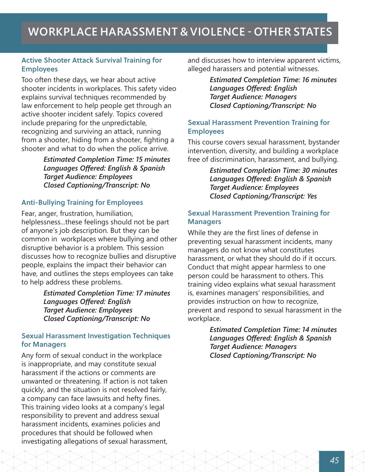## **WORKPLACE HARASSMENT & VIOLENCE - OTHER STATES**

#### Active Shooter Attack Survival Training for Employees

Too often these days, we hear about active shooter incidents in workplaces. This safety video explains survival techniques recommended by law enforcement to help people get through an active shooter incident safely. Topics covered include preparing for the unpredictable, recognizing and surviving an attack, running from a shooter, hiding from a shooter, fighting a shooter and what to do when the police arrive.

> *Estimated Completion Time: 15 minutes Languages Offered: English & Spanish Target Audience: Employees Closed Captioning/Transcript: No*

#### Anti-Bullying Training for Employees

Fear, anger, frustration, humiliation, helplessness...these feelings should not be part of anyone's job description. But they can be common in workplaces where bullying and other disruptive behavior is a problem. This session discusses how to recognize bullies and disruptive people, explains the impact their behavior can have, and outlines the steps employees can take to help address these problems.

> *Estimated Completion Time: 17 minutes Languages Offered: English Target Audience: Employees Closed Captioning/Transcript: No*

#### Sexual Harassment Investigation Techniques for Managers

Any form of sexual conduct in the workplace is inappropriate, and may constitute sexual harassment if the actions or comments are unwanted or threatening. If action is not taken quickly, and the situation is not resolved fairly, a company can face lawsuits and hefty fines. This training video looks at a company's legal responsibility to prevent and address sexual harassment incidents, examines policies and procedures that should be followed when investigating allegations of sexual harassment,

and discusses how to interview apparent victims, alleged harassers and potential witnesses.

> *Estimated Completion Time: 16 minutes Languages Offered: English Target Audience: Managers Closed Captioning/Transcript: No*

#### Sexual Harassment Prevention Training for Employees

This course covers sexual harassment, bystander intervention, diversity, and building a workplace free of discrimination, harassment, and bullying.

> *Estimated Completion Time: 30 minutes Languages Offered: English & Spanish Target Audience: Employees Closed Captioning/Transcript: Yes*

#### Sexual Harassment Prevention Training for **Managers**

While they are the first lines of defense in preventing sexual harassment incidents, many managers do not know what constitutes harassment, or what they should do if it occurs. Conduct that might appear harmless to one person could be harassment to others. This training video explains what sexual harassment is, examines managers' responsibilities, and provides instruction on how to recognize, prevent and respond to sexual harassment in the workplace.

> *Estimated Completion Time: 14 minutes Languages Offered: English & Spanish Target Audience: Managers Closed Captioning/Transcript: No*